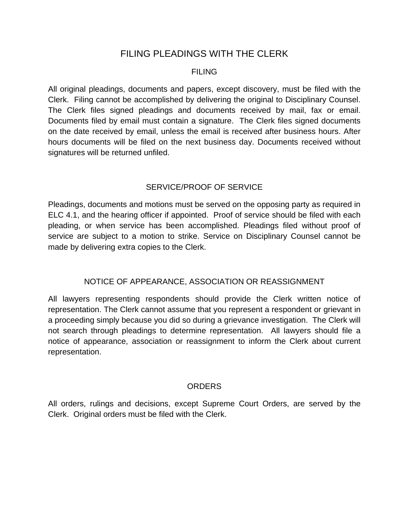# FILING PLEADINGS WITH THE CLERK

#### FILING

All original pleadings, documents and papers, except discovery, must be filed with the Clerk. Filing cannot be accomplished by delivering the original to Disciplinary Counsel. The Clerk files signed pleadings and documents received by mail, fax or email. Documents filed by email must contain a signature. The Clerk files signed documents on the date received by email, unless the email is received after business hours. After hours documents will be filed on the next business day. Documents received without signatures will be returned unfiled.

# SERVICE/PROOF OF SERVICE

Pleadings, documents and motions must be served on the opposing party as required in ELC 4.1, and the hearing officer if appointed. Proof of service should be filed with each pleading, or when service has been accomplished. Pleadings filed without proof of service are subject to a motion to strike. Service on Disciplinary Counsel cannot be made by delivering extra copies to the Clerk.

# NOTICE OF APPEARANCE, ASSOCIATION OR REASSIGNMENT

All lawyers representing respondents should provide the Clerk written notice of representation. The Clerk cannot assume that you represent a respondent or grievant in a proceeding simply because you did so during a grievance investigation. The Clerk will not search through pleadings to determine representation. All lawyers should file a notice of appearance, association or reassignment to inform the Clerk about current representation.

## **ORDERS**

All orders, rulings and decisions, except Supreme Court Orders, are served by the Clerk. Original orders must be filed with the Clerk.